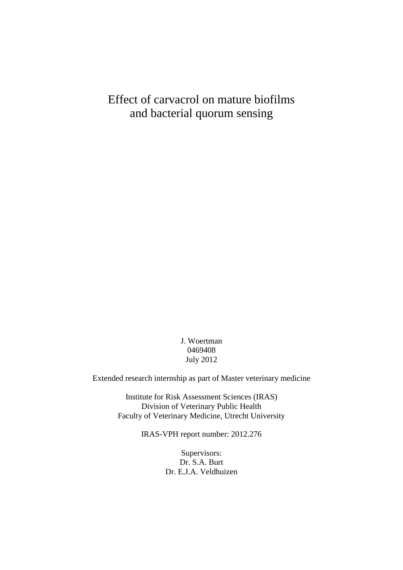# Effect of carvacrol on mature biofilms and bacterial quorum sensing

J. Woertman 0469408 July 2012

Extended research internship as part of Master veterinary medicine

Institute for Risk Assessment Sciences (IRAS) Division of Veterinary Public Health Faculty of Veterinary Medicine, Utrecht University

IRAS-VPH report number: 2012.276

Supervisors: Dr. S.A. Burt Dr. E.J.A. Veldhuizen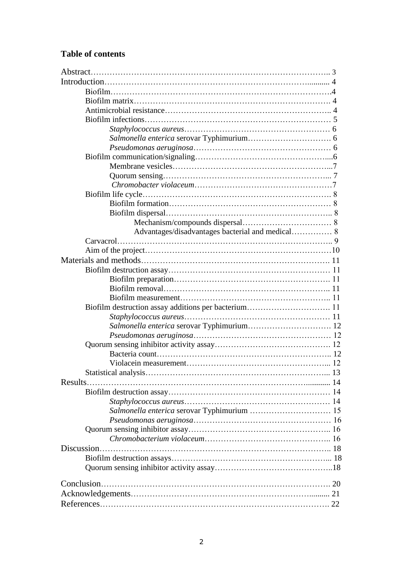# **Table of contents**

| Results.                                    |  |
|---------------------------------------------|--|
|                                             |  |
|                                             |  |
| Salmonella enterica serovar Typhimurium  15 |  |
|                                             |  |
|                                             |  |
|                                             |  |
| Discussion                                  |  |
|                                             |  |
|                                             |  |
|                                             |  |
|                                             |  |
|                                             |  |
|                                             |  |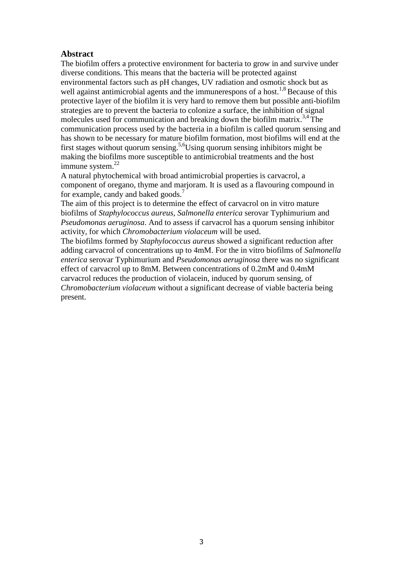# **Abstract**

The biofilm offers a protective environment for bacteria to grow in and survive under diverse conditions. This means that the bacteria will be protected against environmental factors such as pH changes, UV radiation and osmotic shock but as well against antimicrobial agents and the immunerespons of a host.<sup>1,8</sup> Because of this protective layer of the biofilm it is very hard to remove them but possible anti-biofilm strategies are to prevent the bacteria to colonize a surface, the inhibition of signal molecules used for communication and breaking down the biofilm matrix.<sup>3,4</sup> The communication process used by the bacteria in a biofilm is called quorum sensing and has shown to be necessary for mature biofilm formation, most biofilms will end at the first stages without quorum sensing.<sup>5,6</sup>Using quorum sensing inhibitors might be making the biofilms more susceptible to antimicrobial treatments and the host immune system. $^{22}$ 

A natural phytochemical with broad antimicrobial properties is carvacrol, a component of oregano, thyme and marjoram. It is used as a flavouring compound in for example, candy and baked goods.<sup>7</sup>

The aim of this project is to determine the effect of carvacrol on in vitro mature biofilms of *Staphylococcus aureus, Salmonella enterica* serovar Typhimurium and *Pseudomonas aeruginosa*. And to assess if carvacrol has a quorum sensing inhibitor activity, for which *Chromobacterium violaceum* will be used.

The biofilms formed by *Staphylococcus aureus* showed a significant reduction after adding carvacrol of concentrations up to 4mM. For the in vitro biofilms of *Salmonella enterica* serovar Typhimurium and *Pseudomonas aeruginosa* there was no significant effect of carvacrol up to 8mM. Between concentrations of 0.2mM and 0.4mM carvacrol reduces the production of violacein, induced by quorum sensing, of *Chromobacterium violaceum* without a significant decrease of viable bacteria being present.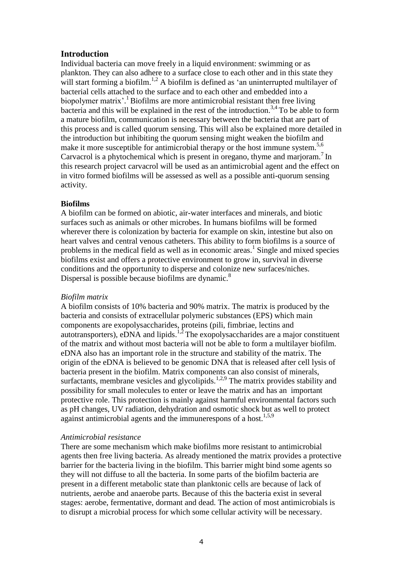# **Introduction**

Individual bacteria can move freely in a liquid environment: swimming or as plankton. They can also adhere to a surface close to each other and in this state they will start forming a biofilm.<sup>1,2</sup> A biofilm is defined as 'an uninterrupted multilayer of bacterial cells attached to the surface and to each other and embedded into a biopolymer matrix'.<sup>1</sup> Biofilms are more antimicrobial resistant then free living bacteria and this will be explained in the rest of the introduction.<sup>3,4</sup> To be able to form a mature biofilm, communication is necessary between the bacteria that are part of this process and is called quorum sensing. This will also be explained more detailed in the introduction but inhibiting the quorum sensing might weaken the biofilm and make it more susceptible for antimicrobial therapy or the host immune system.<sup>5,6</sup> Carvacrol is a phytochemical which is present in oregano, thyme and marjoram.<sup>7</sup> In this research project carvacrol will be used as an antimicrobial agent and the effect on in vitro formed biofilms will be assessed as well as a possible anti-quorum sensing activity.

# **Biofilms**

A biofilm can be formed on abiotic, air-water interfaces and minerals, and biotic surfaces such as animals or other microbes. In humans biofilms will be formed wherever there is colonization by bacteria for example on skin, intestine but also on heart valves and central venous catheters. This ability to form biofilms is a source of problems in the medical field as well as in economic areas.<sup>1</sup> Single and mixed species biofilms exist and offers a protective environment to grow in, survival in diverse conditions and the opportunity to disperse and colonize new surfaces/niches. Dispersal is possible because biofilms are dynamic.<sup>8</sup>

### *Biofilm matrix*

A biofilm consists of 10% bacteria and 90% matrix. The matrix is produced by the bacteria and consists of extracellular polymeric substances (EPS) which main components are exopolysaccharides, proteins (pili, fimbriae, lectins and autotransporters), eDNA and lipids.<sup>1,2</sup> The exopolysaccharides are a major constituent of the matrix and without most bacteria will not be able to form a multilayer biofilm. eDNA also has an important role in the structure and stability of the matrix. The origin of the eDNA is believed to be genomic DNA that is released after cell lysis of bacteria present in the biofilm. Matrix components can also consist of minerals, surfactants, membrane vesicles and glycolipids.<sup>1,2,9</sup> The matrix provides stability and possibility for small molecules to enter or leave the matrix and has an important protective role. This protection is mainly against harmful environmental factors such as pH changes, UV radiation, dehydration and osmotic shock but as well to protect against antimicrobial agents and the immunerespons of a host.<sup>1,5,9</sup>

# *Antimicrobial resistance*

There are some mechanism which make biofilms more resistant to antimicrobial agents then free living bacteria. As already mentioned the matrix provides a protective barrier for the bacteria living in the biofilm. This barrier might bind some agents so they will not diffuse to all the bacteria. In some parts of the biofilm bacteria are present in a different metabolic state than planktonic cells are because of lack of nutrients, aerobe and anaerobe parts. Because of this the bacteria exist in several stages: aerobe, fermentative, dormant and dead. The action of most antimicrobials is to disrupt a microbial process for which some cellular activity will be necessary.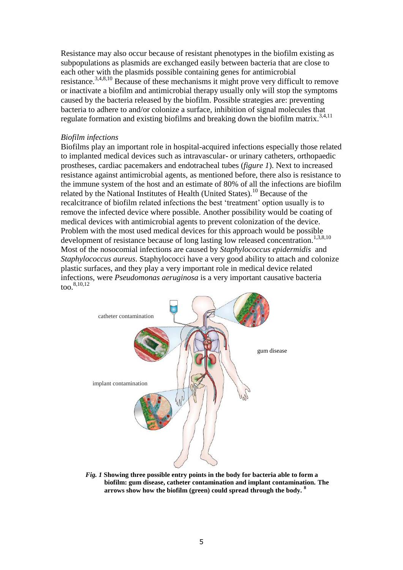Resistance may also occur because of resistant phenotypes in the biofilm existing as subpopulations as plasmids are exchanged easily between bacteria that are close to each other with the plasmids possible containing genes for antimicrobial resistance.3,4,8,10 Because of these mechanisms it might prove very difficult to remove or inactivate a biofilm and antimicrobial therapy usually only will stop the symptoms caused by the bacteria released by the biofilm. Possible strategies are: preventing bacteria to adhere to and/or colonize a surface, inhibition of signal molecules that regulate formation and existing biofilms and breaking down the biofilm matrix.<sup>3,4,11</sup>

### *Biofilm infections*

Biofilms play an important role in hospital-acquired infections especially those related to implanted medical devices such as intravascular- or urinary catheters, orthopaedic prostheses, cardiac pacemakers and endotracheal tubes (*figure 1*). Next to increased resistance against antimicrobial agents, as mentioned before, there also is resistance to the immune system of the host and an estimate of 80% of all the infections are biofilm related by the National Institutes of Health (United States).<sup>10</sup> Because of the recalcitrance of biofilm related infections the best 'treatment' option usually is to remove the infected device where possible. Another possibility would be coating of medical devices with antimicrobial agents to prevent colonization of the device. Problem with the most used medical devices for this approach would be possible development of resistance because of long lasting low released concentration.<sup>1,3,8,10</sup> Most of the nosocomial infections are caused by *Staphylococcus epidermidis* and *Staphylococcus aureus*. Staphylococci have a very good ability to attach and colonize plastic surfaces, and they play a very important role in medical device related infections, were *Pseudomonas aeruginosa* is a very important causative bacteria too. $8,10,12$ 



*Staphylococcus aureus*   **arrows show how the biofilm (green) could spread through the body. <sup>8</sup>** *Fig. 1* **Showing three possible entry points in the body for bacteria able to form a biofilm: gum disease, catheter contamination and implant contamination. The**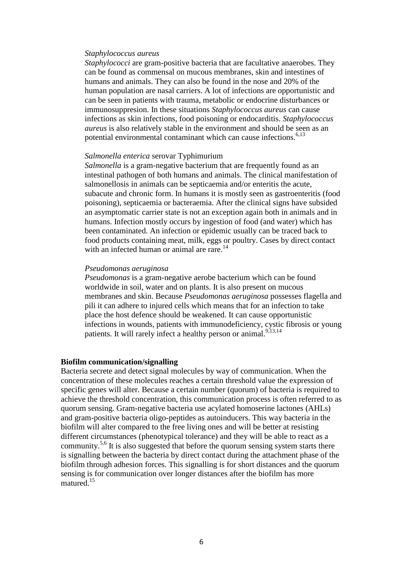### *Staphylococcus aureus*

*Staphylococci* are gram-positive bacteria that are facultative anaerobes. They can be found as commensal on mucous membranes, skin and intestines of humans and animals. They can also be found in the nose and 20% of the human population are nasal carriers. A lot of infections are opportunistic and can be seen in patients with trauma, metabolic or endocrine disturbances or immunosuppresion. In these situations *Staphylococcus aureus* can cause infections as skin infections, food poisoning or endocarditis. *Staphylococcus aureus* is also relatively stable in the environment and should be seen as an potential environmental contaminant which can cause infections.<sup>6,13</sup>

### *Salmonella enterica* serovar Typhimurium

*Salmonella* is a gram-negative bacterium that are frequently found as an intestinal pathogen of both humans and animals. The clinical manifestation of salmonellosis in animals can be septicaemia and/or enteritis the acute, subacute and chronic form. In humans it is mostly seen as gastroenteritis (food poisoning), septicaemia or bacteraemia. After the clinical signs have subsided an asymptomatic carrier state is not an exception again both in animals and in humans. Infection mostly occurs by ingestion of food (and water) which has been contaminated. An infection or epidemic usually can be traced back to food products containing meat, milk, eggs or poultry. Cases by direct contact with an infected human or animal are rare.<sup>14</sup>

#### *Pseudomonas aeruginosa*

*Pseudomonas* is a gram-negative aerobe bacterium which can be found worldwide in soil, water and on plants. It is also present on mucous membranes and skin. Because *Pseudomonas aeruginosa* possesses flagella and pili it can adhere to injured cells which means that for an infection to take place the host defence should be weakened. It can cause opportunistic infections in wounds, patients with immunodeficiency, cystic fibrosis or young patients. It will rarely infect a healthy person or animal.<sup>9,13,14</sup>

#### **Biofilm communication/signalling**

Bacteria secrete and detect signal molecules by way of communication. When the concentration of these molecules reaches a certain threshold value the expression of specific genes will alter. Because a certain number (quorum) of bacteria is required to achieve the threshold concentration, this communication process is often referred to as quorum sensing. Gram-negative bacteria use acylated homoserine lactones (AHLs) and gram-positive bacteria oligo-peptides as autoinducers. This way bacteria in the biofilm will alter compared to the free living ones and will be better at resisting different circumstances (phenotypical tolerance) and they will be able to react as a community.<sup>5,6</sup> It is also suggested that before the quorum sensing system starts there is signalling between the bacteria by direct contact during the attachment phase of the biofilm through adhesion forces. This signalling is for short distances and the quorum sensing is for communication over longer distances after the biofilm has more matured.<sup>15</sup>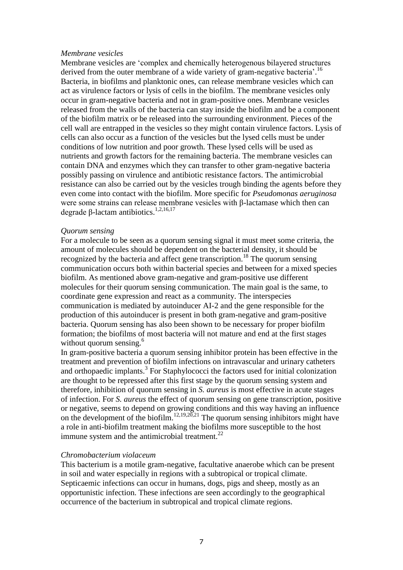### *Membrane vesicles*

Membrane vesicles are 'complex and chemically heterogenous bilayered structures derived from the outer membrane of a wide variety of gram-negative bacteria'.<sup>16</sup> Bacteria, in biofilms and planktonic ones, can release membrane vesicles which can act as virulence factors or lysis of cells in the biofilm. The membrane vesicles only occur in gram-negative bacteria and not in gram-positive ones. Membrane vesicles released from the walls of the bacteria can stay inside the biofilm and be a component of the biofilm matrix or be released into the surrounding environment. Pieces of the cell wall are entrapped in the vesicles so they might contain virulence factors. Lysis of cells can also occur as a function of the vesicles but the lysed cells must be under conditions of low nutrition and poor growth. These lysed cells will be used as nutrients and growth factors for the remaining bacteria. The membrane vesicles can contain DNA and enzymes which they can transfer to other gram-negative bacteria possibly passing on virulence and antibiotic resistance factors. The antimicrobial resistance can also be carried out by the vesicles trough binding the agents before they even come into contact with the biofilm. More specific for *Pseudomonas aeruginosa* were some strains can release membrane vesicles with β-lactamase which then can degrade β-lactam antibiotics.<sup>1,2,16,17</sup>

#### *Quorum sensing*

For a molecule to be seen as a quorum sensing signal it must meet some criteria, the amount of molecules should be dependent on the bacterial density, it should be recognized by the bacteria and affect gene transcription.<sup>18</sup> The quorum sensing communication occurs both within bacterial species and between for a mixed species biofilm. As mentioned above gram-negative and gram-positive use different molecules for their quorum sensing communication. The main goal is the same, to coordinate gene expression and react as a community. The interspecies communication is mediated by autoinducer AI-2 and the gene responsible for the production of this autoinducer is present in both gram-negative and gram-positive bacteria. Quorum sensing has also been shown to be necessary for proper biofilm formation; the biofilms of most bacteria will not mature and end at the first stages without quorum sensing.<sup>6</sup>

In gram-positive bacteria a quorum sensing inhibitor protein has been effective in the treatment and prevention of biofilm infections on intravascular and urinary catheters and orthopaedic implants. $3$  For Staphylococci the factors used for initial colonization are thought to be repressed after this first stage by the quorum sensing system and therefore, inhibition of quorum sensing in *S. aureus* is most effective in acute stages of infection. For *S. aureus* the effect of quorum sensing on gene transcription, positive or negative, seems to depend on growing conditions and this way having an influence on the development of the biofilm.<sup>12,19,20,21</sup> The quorum sensing inhibitors might have a role in anti-biofilm treatment making the biofilms more susceptible to the host immune system and the antimicrobial treatment. $^{22}$ 

### *Chromobacterium violaceum*

This bacterium is a motile gram-negative, facultative anaerobe which can be present in soil and water especially in regions with a subtropical or tropical climate. Septicaemic infections can occur in humans, dogs, pigs and sheep, mostly as an opportunistic infection. These infections are seen accordingly to the geographical occurrence of the bacterium in subtropical and tropical climate regions.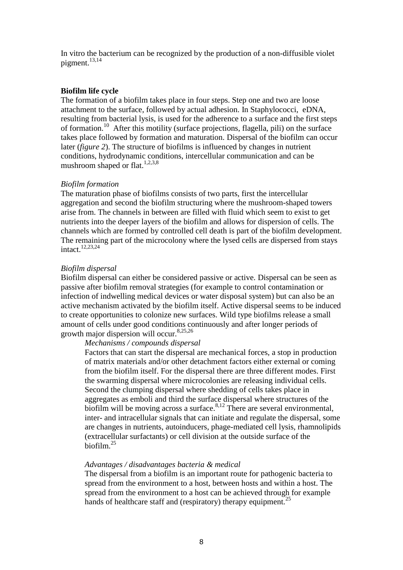In vitro the bacterium can be recognized by the production of a non-diffusible violet pigment.<sup>13,14</sup>

### **Biofilm life cycle**

The formation of a biofilm takes place in four steps. Step one and two are loose attachment to the surface, followed by actual adhesion. In Staphylococci, eDNA, resulting from bacterial lysis, is used for the adherence to a surface and the first steps of formation.<sup>10</sup> After this motility (surface projections, flagella, pili) on the surface takes place followed by formation and maturation. Dispersal of the biofilm can occur later (*figure 2*). The structure of biofilms is influenced by changes in nutrient conditions, hydrodynamic conditions, intercellular communication and can be mushroom shaped or flat.<sup>1,2,3,8</sup>

### *Biofilm formation*

The maturation phase of biofilms consists of two parts, first the intercellular aggregation and second the biofilm structuring where the mushroom-shaped towers arise from. The channels in between are filled with fluid which seem to exist to get nutrients into the deeper layers of the biofilm and allows for dispersion of cells. The channels which are formed by controlled cell death is part of the biofilm development. The remaining part of the microcolony where the lysed cells are dispersed from stays intact.12,23,24

### *Biofilm dispersal*

Biofilm dispersal can either be considered passive or active. Dispersal can be seen as passive after biofilm removal strategies (for example to control contamination or infection of indwelling medical devices or water disposal system) but can also be an active mechanism activated by the biofilm itself. Active dispersal seems to be induced to create opportunities to colonize new surfaces. Wild type biofilms release a small amount of cells under good conditions continuously and after longer periods of growth major dispersion will occur.8,25,26

### *Mechanisms / compounds dispersal*

Factors that can start the dispersal are mechanical forces, a stop in production of matrix materials and/or other detachment factors either external or coming from the biofilm itself. For the dispersal there are three different modes. First the swarming dispersal where microcolonies are releasing individual cells. Second the clumping dispersal where shedding of cells takes place in aggregates as emboli and third the surface dispersal where structures of the biofilm will be moving across a surface.  $8,12$  There are several environmental, inter- and intracellular signals that can initiate and regulate the dispersal, some are changes in nutrients, autoinducers, phage-mediated cell lysis, rhamnolipids (extracellular surfactants) or cell division at the outside surface of the biofilm.<sup>25</sup>

### *Advantages / disadvantages bacteria & medical*

The dispersal from a biofilm is an important route for pathogenic bacteria to spread from the environment to a host, between hosts and within a host. The spread from the environment to a host can be achieved through for example hands of healthcare staff and (respiratory) therapy equipment.<sup>25</sup>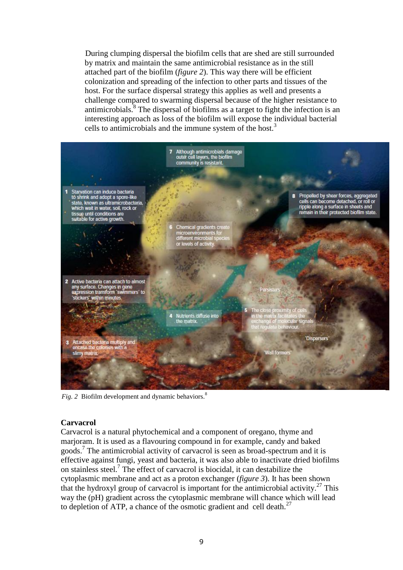During clumping dispersal the biofilm cells that are shed are still surrounded by matrix and maintain the same antimicrobial resistance as in the still attached part of the biofilm (*figure 2*). This way there will be efficient colonization and spreading of the infection to other parts and tissues of the host. For the surface dispersal strategy this applies as well and presents a challenge compared to swarming dispersal because of the higher resistance to antimicrobials. $\frac{8}{3}$  The dispersal of biofilms as a target to fight the infection is an interesting approach as loss of the biofilm will expose the individual bacterial cells to antimicrobials and the immune system of the host.<sup>3</sup>



*Fig. 2* Biofilm development and dynamic behaviors.<sup>8</sup>

### **Carvacrol**

Carvacrol is a natural phytochemical and a component of oregano, thyme and marjoram. It is used as a flavouring compound in for example, candy and baked goods.<sup>7</sup> The antimicrobial activity of carvacrol is seen as broad-spectrum and it is effective against fungi, yeast and bacteria, it was also able to inactivate dried biofilms on stainless steel.<sup>7</sup> The effect of carvacrol is biocidal, it can destabilize the cytoplasmic membrane and act as a proton exchanger (*figure 3*). It has been shown that the hydroxyl group of carvacrol is important for the antimicrobial activity.<sup>27</sup> This way the (pH) gradient across the cytoplasmic membrane will chance which will lead to depletion of ATP, a chance of the osmotic gradient and cell death. $27$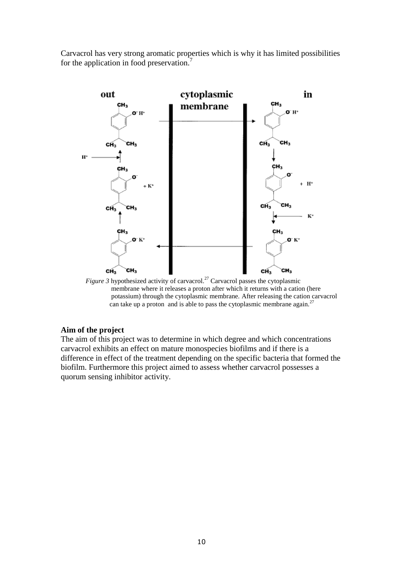Carvacrol has very strong aromatic properties which is why it has limited possibilities for the application in food preservation.<sup>7</sup>



*Figure 3* hypothesized activity of carvacrol.<sup>27</sup> Carvacrol passes the cytoplasmic membrane where it releases a proton after which it returns with a cation (here potassium) through the cytoplasmic membrane. After releasing the cation carvacrol can take up a proton and is able to pass the cytoplasmic membrane again.<sup>27</sup>

# **Aim of the project**

The aim of this project was to determine in which degree and which concentrations carvacrol exhibits an effect on mature monospecies biofilms and if there is a difference in effect of the treatment depending on the specific bacteria that formed the biofilm. Furthermore this project aimed to assess whether carvacrol possesses a quorum sensing inhibitor activity.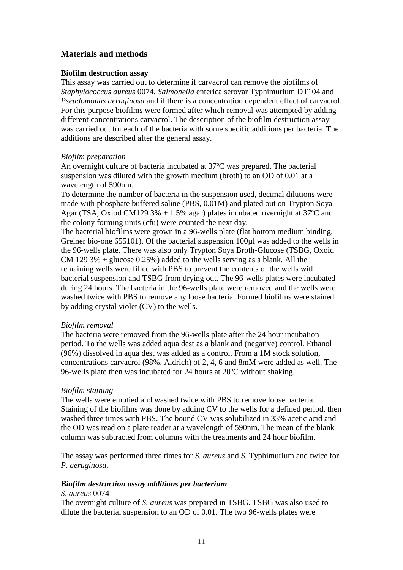# **Materials and methods**

# **Biofilm destruction assay**

This assay was carried out to determine if carvacrol can remove the biofilms of *Staphylococcus aureus* 0074*, Salmonella* enterica serovar Typhimurium DT104 and *Pseudomonas aeruginosa* and if there is a concentration dependent effect of carvacrol. For this purpose biofilms were formed after which removal was attempted by adding different concentrations carvacrol. The description of the biofilm destruction assay was carried out for each of the bacteria with some specific additions per bacteria. The additions are described after the general assay.

# *Biofilm preparation*

An overnight culture of bacteria incubated at 37ºC was prepared. The bacterial suspension was diluted with the growth medium (broth) to an OD of 0.01 at a wavelength of 590nm.

To determine the number of bacteria in the suspension used, decimal dilutions were made with phosphate buffered saline (PBS, 0.01M) and plated out on Trypton Soya Agar (TSA, Oxiod CM129 3% + 1.5% agar) plates incubated overnight at 37ºC and the colony forming units (cfu) were counted the next day.

The bacterial biofilms were grown in a 96-wells plate (flat bottom medium binding, Greiner bio-one 655101). Of the bacterial suspension 100µl was added to the wells in the 96-wells plate. There was also only Trypton Soya Broth-Glucose (TSBG, Oxoid CM 129 3% + glucose  $0.25\%$ ) added to the wells serving as a blank. All the remaining wells were filled with PBS to prevent the contents of the wells with bacterial suspension and TSBG from drying out. The 96-wells plates were incubated during 24 hours. The bacteria in the 96-wells plate were removed and the wells were washed twice with PBS to remove any loose bacteria. Formed biofilms were stained by adding crystal violet (CV) to the wells.

# *Biofilm removal*

The bacteria were removed from the 96-wells plate after the 24 hour incubation period. To the wells was added aqua dest as a blank and (negative) control. Ethanol (96%) dissolved in aqua dest was added as a control. From a 1M stock solution, concentrations carvacrol (98%, Aldrich) of 2, 4, 6 and 8mM were added as well. The 96-wells plate then was incubated for 24 hours at 20ºC without shaking.

# *Biofilm staining*

The wells were emptied and washed twice with PBS to remove loose bacteria. Staining of the biofilms was done by adding CV to the wells for a defined period, then washed three times with PBS. The bound CV was solubilized in 33% acetic acid and the OD was read on a plate reader at a wavelength of 590nm. The mean of the blank column was subtracted from columns with the treatments and 24 hour biofilm.

The assay was performed three times for *S. aureus* and *S.* Typhimurium and twice for *P. aeruginosa*.

# *Biofilm destruction assay additions per bacterium*

# *S*. *aureus* 0074

The overnight culture of *S. aureus* was prepared in TSBG. TSBG was also used to dilute the bacterial suspension to an OD of 0.01. The two 96-wells plates were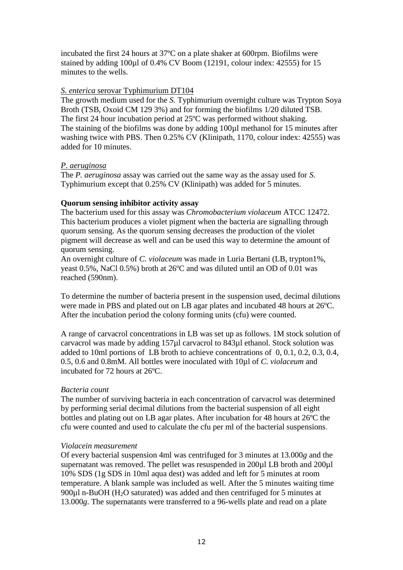incubated the first 24 hours at 37ºC on a plate shaker at 600rpm. Biofilms were stained by adding 100µl of 0.4% CV Boom (12191, colour index: 42555) for 15 minutes to the wells.

### *S*. *enterica* serovar Typhimurium DT104

The growth medium used for the *S.* Typhimurium overnight culture was Trypton Soya Broth (TSB, Oxoid CM 129 3%) and for forming the biofilms 1/20 diluted TSB. The first 24 hour incubation period at 25ºC was performed without shaking. The staining of the biofilms was done by adding 100µl methanol for 15 minutes after washing twice with PBS. Then 0.25% CV (Klinipath, 1170, colour index: 42555) was added for 10 minutes.

### *P. aeruginosa*

The *P. aeruginosa* assay was carried out the same way as the assay used for *S.* Typhimurium except that 0.25% CV (Klinipath) was added for 5 minutes.

# **Quorum sensing inhibitor activity assay**

The bacterium used for this assay was *Chromobacterium violaceum* ATCC 12472. This bacterium produces a violet pigment when the bacteria are signalling through quorum sensing. As the quorum sensing decreases the production of the violet pigment will decrease as well and can be used this way to determine the amount of quorum sensing.

An overnight culture of *C. violaceum* was made in Luria Bertani (LB, trypton1%, yeast 0.5%, NaCl 0.5%) broth at 26ºC and was diluted until an OD of 0.01 was reached (590nm).

To determine the number of bacteria present in the suspension used, decimal dilutions were made in PBS and plated out on LB agar plates and incubated 48 hours at 26ºC. After the incubation period the colony forming units (cfu) were counted.

A range of carvacrol concentrations in LB was set up as follows. 1M stock solution of carvacrol was made by adding 157µl carvacrol to 843µl ethanol. Stock solution was added to 10ml portions of LB broth to achieve concentrations of 0, 0.1, 0.2, 0.3, 0.4, 0.5, 0.6 and 0.8mM. All bottles were inoculated with 10µl of *C. violaceum* and incubated for 72 hours at 26ºC.

# *Bacteria count*

The number of surviving bacteria in each concentration of carvacrol was determined by performing serial decimal dilutions from the bacterial suspension of all eight bottles and plating out on LB agar plates. After incubation for 48 hours at 26ºC the cfu were counted and used to calculate the cfu per ml of the bacterial suspensions.

# *Violacein measurement*

Of every bacterial suspension 4ml was centrifuged for 3 minutes at 13.000*g* and the supernatant was removed. The pellet was resuspended in 200 $\mu$ l LB broth and 200 $\mu$ l 10% SDS (1g SDS in 10ml aqua dest) was added and left for 5 minutes at room temperature. A blank sample was included as well. After the 5 minutes waiting time 900 $\mu$ l n-BuOH (H<sub>2</sub>O saturated) was added and then centrifuged for 5 minutes at 13.000*g*. The supernatants were transferred to a 96-wells plate and read on a plate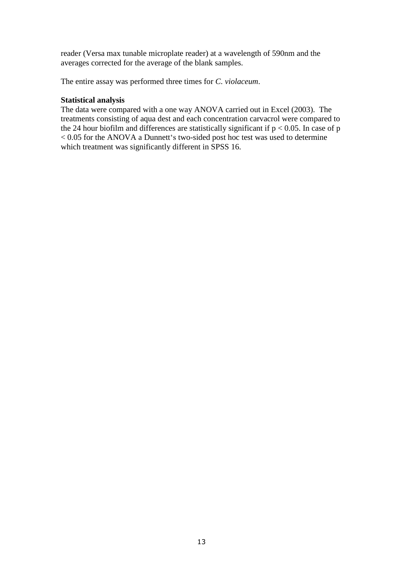reader (Versa max tunable microplate reader) at a wavelength of 590nm and the averages corrected for the average of the blank samples.

The entire assay was performed three times for *C. violaceum*.

# **Statistical analysis**

The data were compared with a one way ANOVA carried out in Excel (2003). The treatments consisting of aqua dest and each concentration carvacrol were compared to the 24 hour biofilm and differences are statistically significant if  $p < 0.05$ . In case of p < 0.05 for the ANOVA a Dunnett's two-sided post hoc test was used to determine which treatment was significantly different in SPSS 16.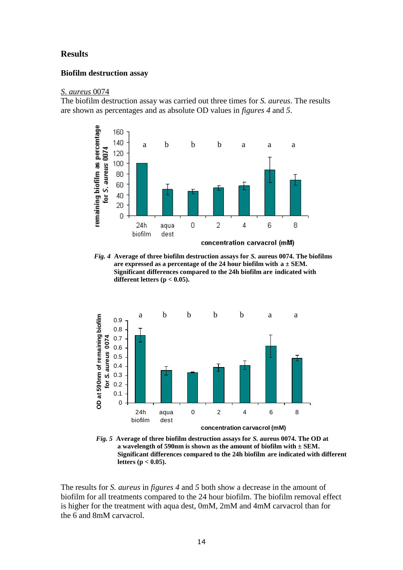# **Results**

### **Biofilm destruction assay**

#### *S*. *aureus* 0074

The biofilm destruction assay was carried out three times for *S. aureus*. The results are shown as percentages and as absolute OD values in *figures 4* and *5*.



*Fig. 4* **Average of three biofilm destruction assays for** *S.* **aureus 0074. The biofilms are expressed as a percentage of the 24 hour biofilm with a ± SEM. Significant differences compared to the 24h biofilm are indicated with different letters (p < 0.05).**



*Fig. 5* **Average of three biofilm destruction assays for** *S.* **aureus 0074. The OD at a wavelength of 590nm is shown as the amount of biofilm with ± SEM. Significant differences compared to the 24h biofilm are indicated with different letters (p < 0.05).**

The results for *S. aureus* in *figures 4* and *5* both show a decrease in the amount of biofilm for all treatments compared to the 24 hour biofilm. The biofilm removal effect is higher for the treatment with aqua dest, 0mM, 2mM and 4mM carvacrol than for the 6 and 8mM carvacrol.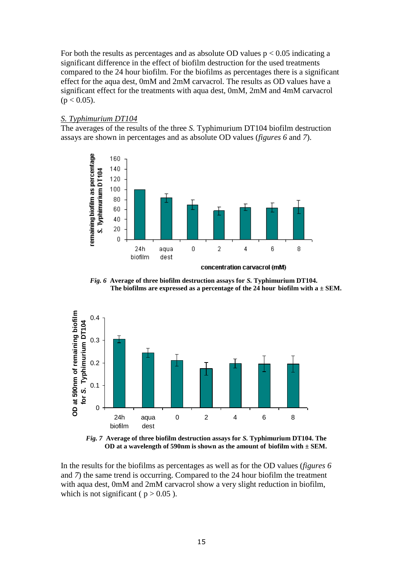For both the results as percentages and as absolute OD values  $p < 0.05$  indicating a significant difference in the effect of biofilm destruction for the used treatments compared to the 24 hour biofilm. For the biofilms as percentages there is a significant effect for the aqua dest, 0mM and 2mM carvacrol. The results as OD values have a significant effect for the treatments with aqua dest, 0mM, 2mM and 4mM carvacrol  $(p < 0.05)$ .

## *S. Typhimurium DT104*

The averages of the results of the three *S.* Typhimurium DT104 biofilm destruction assays are shown in percentages and as absolute OD values (*figures 6* and *7*).









In the results for the biofilms as percentages as well as for the OD values (*figures 6* and *7*) the same trend is occurring. Compared to the 24 hour biofilm the treatment with aqua dest, 0mM and 2mM carvacrol show a very slight reduction in biofilm, which is not significant ( $p > 0.05$ ).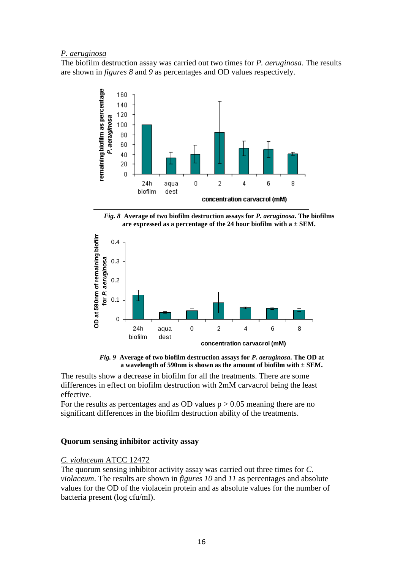## *P. aeruginosa*

The biofilm destruction assay was carried out two times for *P. aeruginosa*. The results are shown in *figures 8* and *9* as percentages and OD values respectively.



*Fig. 8* **Average of two biofilm destruction assays for** *P. aeruginosa***. The biofilms are expressed as a percentage of the 24 hour biofilm with a ± SEM.**



 *Fig. 9* **Average of two biofilm destruction assays for** *P***.** *aeruginosa***. The OD at a wavelength of 590nm is shown as the amount of biofilm with ± SEM.**

The results show a decrease in biofilm for all the treatments. There are some differences in effect on biofilm destruction with 2mM carvacrol being the least effective.

For the results as percentages and as OD values  $p > 0.05$  meaning there are no significant differences in the biofilm destruction ability of the treatments.

# **Quorum sensing inhibitor activity assay**

# *C. violaceum* ATCC 12472

The quorum sensing inhibitor activity assay was carried out three times for *C. violaceum*. The results are shown in *figures 10* and *11* as percentages and absolute values for the OD of the violacein protein and as absolute values for the number of bacteria present (log cfu/ml).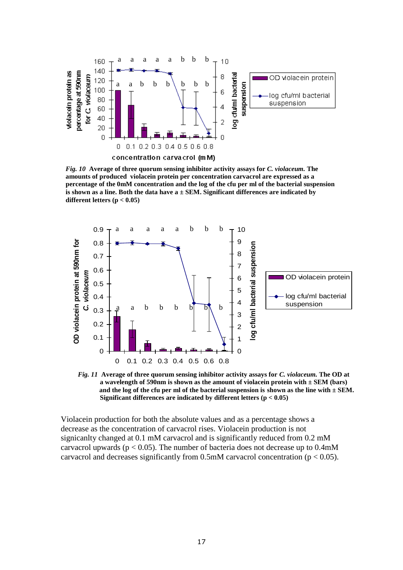

*Fig. 10* **Average of three quorum sensing inhibitor activity assays for** *C. violaceum.* **The amounts of produced violacein protein per concentration carvacrol are expressed as a percentage of the 0mM concentration and the log of the cfu per ml of the bacterial suspension is shown as a line. Both the data have a ± SEM. Significant differences are indicated by different letters (p < 0.05)**



**concentration carvacrol (mM)** *Fig. 11* **Average of three quorum sensing inhibitor activity assays for** *C. violaceum.* **The OD at a wavelength of 590nm is shown as the amount of violacein protein with ± SEM (bars) and the log of the cfu per ml of the bacterial suspension is shown as the line with ± SEM. Significant differences are indicated by different letters (p < 0.05)**

Violacein production for both the absolute values and as a percentage shows a decrease as the concentration of carvacrol rises. Violacein production is not signicanlty changed at 0.1 mM carvacrol and is significantly reduced from 0.2 mM carvacrol upwards ( $p < 0.05$ ). The number of bacteria does not decrease up to 0.4mM carvacrol and decreases significantly from  $0.5$ mM carvacrol concentration ( $p < 0.05$ ).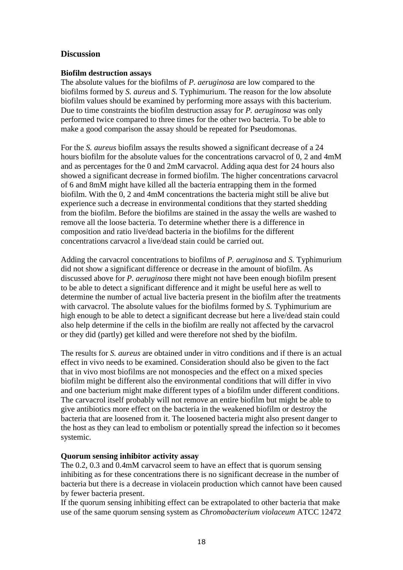# **Discussion**

## **Biofilm destruction assays**

The absolute values for the biofilms of *P. aeruginosa* are low compared to the biofilms formed by *S. aureus* and *S.* Typhimurium. The reason for the low absolute biofilm values should be examined by performing more assays with this bacterium. Due to time constraints the biofilm destruction assay for *P. aeruginosa* was only performed twice compared to three times for the other two bacteria. To be able to make a good comparison the assay should be repeated for Pseudomonas.

For the *S. aureus* biofilm assays the results showed a significant decrease of a 24 hours biofilm for the absolute values for the concentrations carvacrol of 0, 2 and 4mM and as percentages for the 0 and 2mM carvacrol. Adding aqua dest for 24 hours also showed a significant decrease in formed biofilm. The higher concentrations carvacrol of 6 and 8mM might have killed all the bacteria entrapping them in the formed biofilm. With the 0, 2 and 4mM concentrations the bacteria might still be alive but experience such a decrease in environmental conditions that they started shedding from the biofilm. Before the biofilms are stained in the assay the wells are washed to remove all the loose bacteria. To determine whether there is a difference in composition and ratio live/dead bacteria in the biofilms for the different concentrations carvacrol a live/dead stain could be carried out.

Adding the carvacrol concentrations to biofilms of *P. aeruginosa* and *S.* Typhimurium did not show a significant difference or decrease in the amount of biofilm. As discussed above for *P. aeruginosa* there might not have been enough biofilm present to be able to detect a significant difference and it might be useful here as well to determine the number of actual live bacteria present in the biofilm after the treatments with carvacrol. The absolute values for the biofilms formed by *S.* Typhimurium are high enough to be able to detect a significant decrease but here a live/dead stain could also help determine if the cells in the biofilm are really not affected by the carvacrol or they did (partly) get killed and were therefore not shed by the biofilm.

The results for *S. aureus* are obtained under in vitro conditions and if there is an actual effect in vivo needs to be examined. Consideration should also be given to the fact that in vivo most biofilms are not monospecies and the effect on a mixed species biofilm might be different also the environmental conditions that will differ in vivo and one bacterium might make different types of a biofilm under different conditions. The carvacrol itself probably will not remove an entire biofilm but might be able to give antibiotics more effect on the bacteria in the weakened biofilm or destroy the bacteria that are loosened from it. The loosened bacteria might also present danger to the host as they can lead to embolism or potentially spread the infection so it becomes systemic.

# **Quorum sensing inhibitor activity assay**

The 0.2, 0.3 and 0.4mM carvacrol seem to have an effect that is quorum sensing inhibiting as for these concentrations there is no significant decrease in the number of bacteria but there is a decrease in violacein production which cannot have been caused by fewer bacteria present.

If the quorum sensing inhibiting effect can be extrapolated to other bacteria that make use of the same quorum sensing system as *Chromobacterium violaceum* ATCC 12472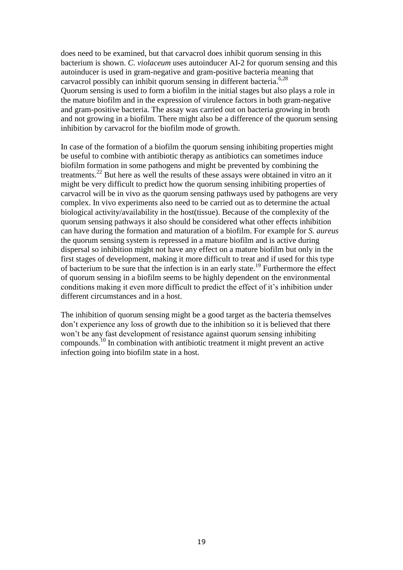does need to be examined, but that carvacrol does inhibit quorum sensing in this bacterium is shown. *C. violaceum* uses autoinducer AI-2 for quorum sensing and this autoinducer is used in gram-negative and gram-positive bacteria meaning that carvacrol possibly can inhibit quorum sensing in different bacteria.<sup>6,28</sup> Quorum sensing is used to form a biofilm in the initial stages but also plays a role in the mature biofilm and in the expression of virulence factors in both gram-negative and gram-positive bacteria. The assay was carried out on bacteria growing in broth and not growing in a biofilm. There might also be a difference of the quorum sensing inhibition by carvacrol for the biofilm mode of growth.

In case of the formation of a biofilm the quorum sensing inhibiting properties might be useful to combine with antibiotic therapy as antibiotics can sometimes induce biofilm formation in some pathogens and might be prevented by combining the treatments.<sup>22</sup> But here as well the results of these assays were obtained in vitro an it might be very difficult to predict how the quorum sensing inhibiting properties of carvacrol will be in vivo as the quorum sensing pathways used by pathogens are very complex. In vivo experiments also need to be carried out as to determine the actual biological activity/availability in the host(tissue). Because of the complexity of the quorum sensing pathways it also should be considered what other effects inhibition can have during the formation and maturation of a biofilm. For example for *S. aureus* the quorum sensing system is repressed in a mature biofilm and is active during dispersal so inhibition might not have any effect on a mature biofilm but only in the first stages of development, making it more difficult to treat and if used for this type of bacterium to be sure that the infection is in an early state.<sup>19</sup> Furthermore the effect of quorum sensing in a biofilm seems to be highly dependent on the environmental conditions making it even more difficult to predict the effect of it's inhibition under different circumstances and in a host.

The inhibition of quorum sensing might be a good target as the bacteria themselves don't experience any loss of growth due to the inhibition so it is believed that there won't be any fast development of resistance against quorum sensing inhibiting compounds.<sup>10</sup> In combination with antibiotic treatment it might prevent an active infection going into biofilm state in a host.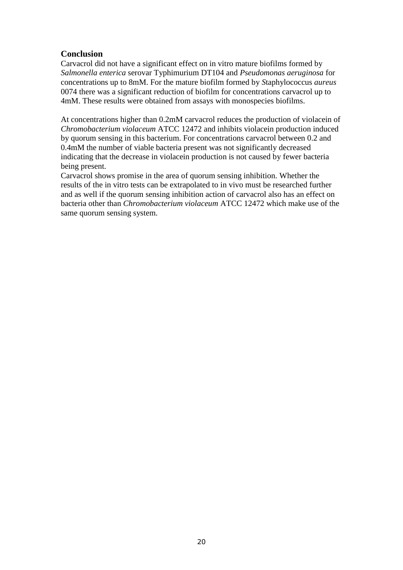# **Conclusion**

Carvacrol did not have a significant effect on in vitro mature biofilms formed by *Salmonella enterica* serovar Typhimurium DT104 and *Pseudomonas aeruginosa* for concentrations up to 8mM. For the mature biofilm formed by *S*taphylococcus *aureus*  0074 there was a significant reduction of biofilm for concentrations carvacrol up to 4mM. These results were obtained from assays with monospecies biofilms.

At concentrations higher than 0.2mM carvacrol reduces the production of violacein of *Chromobacterium violaceum* ATCC 12472 and inhibits violacein production induced by quorum sensing in this bacterium. For concentrations carvacrol between 0.2 and 0.4mM the number of viable bacteria present was not significantly decreased indicating that the decrease in violacein production is not caused by fewer bacteria being present.

Carvacrol shows promise in the area of quorum sensing inhibition. Whether the results of the in vitro tests can be extrapolated to in vivo must be researched further and as well if the quorum sensing inhibition action of carvacrol also has an effect on bacteria other than *Chromobacterium violaceum* ATCC 12472 which make use of the same quorum sensing system.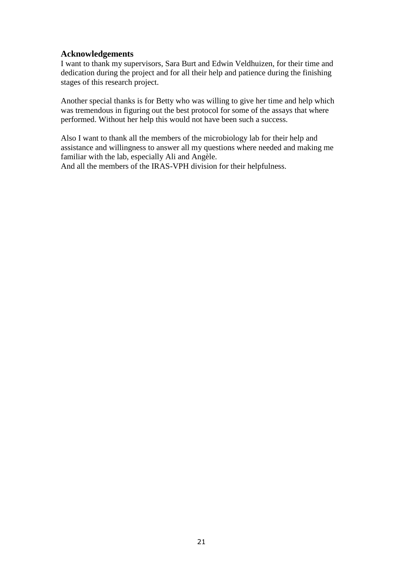# **Acknowledgements**

I want to thank my supervisors, Sara Burt and Edwin Veldhuizen, for their time and dedication during the project and for all their help and patience during the finishing stages of this research project.

Another special thanks is for Betty who was willing to give her time and help which was tremendous in figuring out the best protocol for some of the assays that where performed. Without her help this would not have been such a success.

Also I want to thank all the members of the microbiology lab for their help and assistance and willingness to answer all my questions where needed and making me familiar with the lab, especially Ali and Angèle.

And all the members of the IRAS-VPH division for their helpfulness.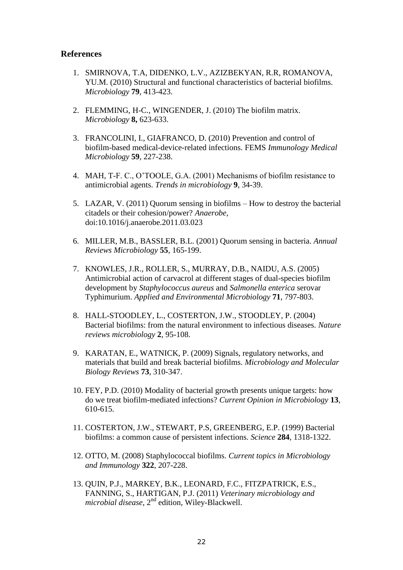# **References**

- 1. SMIRNOVA, T.A, DIDENKO, L.V., AZIZBEKYAN, R.R, ROMANOVA, YU.M. (2010) Structural and functional characteristics of bacterial biofilms. *Microbiology* **79**, 413-423.
- 2. FLEMMING, H-C., WINGENDER, J. (2010) The biofilm matrix. *Microbiology* **8,** 623-633.
- 3. FRANCOLINI, I., GIAFRANCO, D. (2010) Prevention and control of biofilm-based medical-device-related infections. FEMS *Immunology Medical Microbiology* **59**, 227-238.
- 4. MAH, T-F. C., O'TOOLE, G.A. (2001) Mechanisms of biofilm resistance to antimicrobial agents. *Trends in microbiology* **9**, 34-39.
- 5. LAZAR, V. (2011) Quorum sensing in biofilms How to destroy the bacterial citadels or their cohesion/power? *Anaerobe*, doi:10.1016/j.anaerobe.2011.03.023
- 6. MILLER, M.B., BASSLER, B.L. (2001) Quorum sensing in bacteria. *Annual Reviews Microbiology* **55**, 165-199.
- 7. KNOWLES, J.R., ROLLER, S., MURRAY, D.B., NAIDU, A.S. (2005) Antimicrobial action of carvacrol at different stages of dual-species biofilm development by *Staphylococcus aureus* and *Salmonella enterica* serovar Typhimurium. *Applied and Environmental Microbiology* **71**, 797-803.
- 8. HALL-STOODLEY, L., COSTERTON, J.W., STOODLEY, P. (2004) Bacterial biofilms: from the natural environment to infectious diseases. *Nature reviews microbiology* **2**, 95-108.
- 9. KARATAN, E., WATNICK, P. (2009) Signals, regulatory networks, and materials that build and break bacterial biofilms. *Microbiology and Molecular Biology Reviews* **73**, 310-347.
- 10. FEY, P.D. (2010) Modality of bacterial growth presents unique targets: how do we treat biofilm-mediated infections? *Current Opinion in Microbiology* **13**, 610-615.
- 11. COSTERTON, J.W., STEWART, P.S, GREENBERG, E.P. (1999) Bacterial biofilms: a common cause of persistent infections. *Science* **284**, 1318-1322.
- 12. OTTO, M. (2008) Staphylococcal biofilms. *Current topics in Microbiology and Immunology* **322**, 207-228.
- 13. QUIN, P.J., MARKEY, B.K., LEONARD, F.C., FITZPATRICK, E.S., FANNING, S., HARTIGAN, P.J. (2011) *Veterinary microbiology and microbial disease*, 2nd edition, Wiley-Blackwell.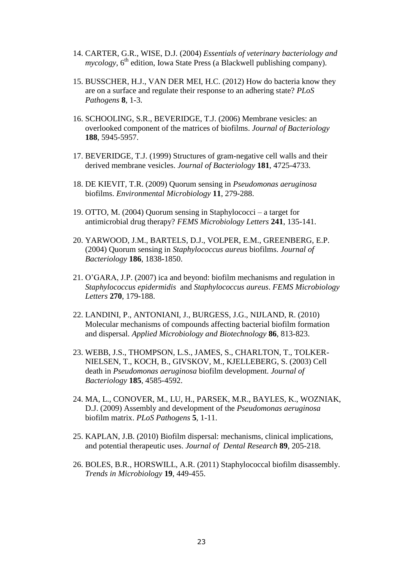- 14. CARTER, G.R., WISE, D.J. (2004) *Essentials of veterinary bacteriology and*   $mycology$ ,  $6<sup>th</sup>$  edition, Iowa State Press (a Blackwell publishing company).
- 15. BUSSCHER, H.J., VAN DER MEI, H.C. (2012) How do bacteria know they are on a surface and regulate their response to an adhering state? *PLoS Pathogens* **8**, 1-3.
- 16. SCHOOLING, S.R., BEVERIDGE, T.J. (2006) Membrane vesicles: an overlooked component of the matrices of biofilms. *Journal of Bacteriology* **188**, 5945-5957.
- 17. BEVERIDGE, T.J. (1999) Structures of gram-negative cell walls and their derived membrane vesicles. *Journal of Bacteriology* **181**, 4725-4733.
- 18. DE KIEVIT, T.R. (2009) Quorum sensing in *Pseudomonas aeruginosa* biofilms. *Environmental Microbiology* **11**, 279-288.
- 19. OTTO, M. (2004) Quorum sensing in Staphylococci a target for antimicrobial drug therapy? *FEMS Microbiology Letters* **241**, 135-141.
- 20. YARWOOD, J.M., BARTELS, D.J., VOLPER, E.M., GREENBERG, E.P. (2004) Quorum sensing in *Staphylococcus aureus* biofilms. *Journal of Bacteriology* **186**, 1838-1850.
- 21. O'GARA, J.P. (2007) ica and beyond: biofilm mechanisms and regulation in *Staphylococcus epidermidis* and *Staphylococcus aureus*. *FEMS Microbiology Letters* **270**, 179-188.
- 22. LANDINI, P., ANTONIANI, J., BURGESS, J.G., NIJLAND, R. (2010) Molecular mechanisms of compounds affecting bacterial biofilm formation and dispersal. *Applied Microbiology and Biotechnology* **86**, 813-823.
- 23. WEBB, J.S., THOMPSON, L.S., JAMES, S., CHARLTON, T., TOLKER-NIELSEN, T., KOCH, B., GIVSKOV, M., KJELLEBERG, S. (2003) Cell death in *Pseudomonas aeruginosa* biofilm development. *Journal of Bacteriology* **185**, 4585-4592.
- 24. MA, L., CONOVER, M., LU, H., PARSEK, M.R., BAYLES, K., WOZNIAK, D.J. (2009) Assembly and development of the *Pseudomonas aeruginosa* biofilm matrix. *PLoS Pathogens* **5**, 1-11.
- 25. KAPLAN, J.B. (2010) Biofilm dispersal: mechanisms, clinical implications, and potential therapeutic uses. *Journal of Dental Research* **89**, 205-218.
- 26. BOLES, B.R., HORSWILL, A.R. (2011) Staphylococcal biofilm disassembly. *Trends in Microbiology* **19**, 449-455.